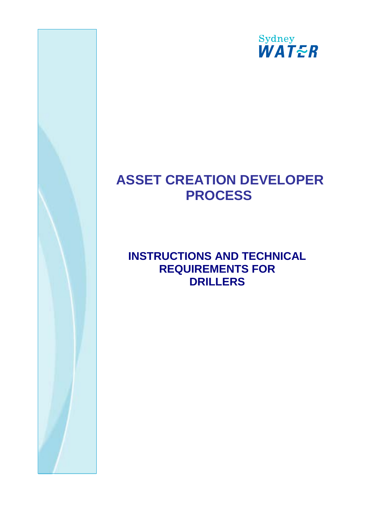

# **ASSET CREATION DEVELOPER PROCESS**

# **INSTRUCTIONS AND TECHNICAL REQUIREMENTS FOR DRILLERS**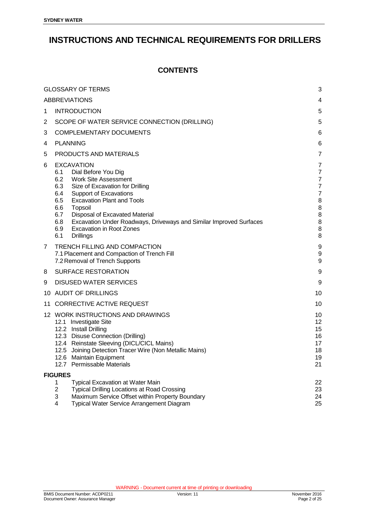# **INSTRUCTIONS AND TECHNICAL REQUIREMENTS FOR DRILLERS**

#### **CONTENTS**

<span id="page-1-0"></span>

|    | <b>GLOSSARY OF TERMS</b>                                                                                                                                                                                                                                                                                                                                                                                                  | 3                                                                                                                          |  |
|----|---------------------------------------------------------------------------------------------------------------------------------------------------------------------------------------------------------------------------------------------------------------------------------------------------------------------------------------------------------------------------------------------------------------------------|----------------------------------------------------------------------------------------------------------------------------|--|
|    |                                                                                                                                                                                                                                                                                                                                                                                                                           |                                                                                                                            |  |
|    | <b>ABBREVIATIONS</b>                                                                                                                                                                                                                                                                                                                                                                                                      | 4<br>5                                                                                                                     |  |
| 1  | <b>INTRODUCTION</b>                                                                                                                                                                                                                                                                                                                                                                                                       |                                                                                                                            |  |
| 2  | SCOPE OF WATER SERVICE CONNECTION (DRILLING)                                                                                                                                                                                                                                                                                                                                                                              |                                                                                                                            |  |
| 3  | <b>COMPLEMENTARY DOCUMENTS</b>                                                                                                                                                                                                                                                                                                                                                                                            |                                                                                                                            |  |
| 4  | <b>PLANNING</b>                                                                                                                                                                                                                                                                                                                                                                                                           |                                                                                                                            |  |
| 5  | PRODUCTS AND MATERIALS                                                                                                                                                                                                                                                                                                                                                                                                    |                                                                                                                            |  |
| 6  | <b>EXCAVATION</b><br>6.1<br>Dial Before You Dig<br>6.2<br><b>Work Site Assessment</b><br>Size of Excavation for Drilling<br>6.3<br>6.4<br>Support of Excavations<br><b>Excavation Plant and Tools</b><br>6.5<br>Topsoil<br>6.6<br>6.7<br>Disposal of Excavated Material<br>Excavation Under Roadways, Driveways and Similar Improved Surfaces<br>6.8<br><b>Excavation in Root Zones</b><br>6.9<br>6.1<br><b>Drillings</b> | $\overline{7}$<br>$\overline{7}$<br>$\overline{7}$<br>$\overline{7}$<br>$\overline{7}$<br>8<br>8<br>$\bf 8$<br>8<br>8<br>8 |  |
| 7  | <b>TRENCH FILLING AND COMPACTION</b><br>7.1 Placement and Compaction of Trench Fill<br>7.2 Removal of Trench Supports                                                                                                                                                                                                                                                                                                     | 9<br>$\boldsymbol{9}$<br>$\boldsymbol{9}$                                                                                  |  |
| 8  | <b>SURFACE RESTORATION</b>                                                                                                                                                                                                                                                                                                                                                                                                | 9                                                                                                                          |  |
| 9  | <b>DISUSED WATER SERVICES</b>                                                                                                                                                                                                                                                                                                                                                                                             | 9                                                                                                                          |  |
|    | 10 AUDIT OF DRILLINGS                                                                                                                                                                                                                                                                                                                                                                                                     |                                                                                                                            |  |
| 11 | CORRECTIVE ACTIVE REQUEST                                                                                                                                                                                                                                                                                                                                                                                                 |                                                                                                                            |  |
|    | 12 WORK INSTRUCTIONS AND DRAWINGS<br>12.1 Investigate Site<br>12.2 Install Drilling<br>12.3 Disuse Connection (Drilling)<br>12.4 Reinstate Sleeving (DICL/CICL Mains)<br>12.5 Joining Detection Tracer Wire (Non Metallic Mains)<br>12.6 Maintain Equipment<br>12.7 Permissable Materials                                                                                                                                 | 10<br>12<br>15<br>16<br>17<br>18<br>19<br>21                                                                               |  |
|    | <b>FIGURES</b>                                                                                                                                                                                                                                                                                                                                                                                                            |                                                                                                                            |  |
|    | Typical Excavation at Water Main<br>1<br>$\overline{c}$<br><b>Typical Drilling Locations at Road Crossing</b><br>3<br>Maximum Service Offset within Property Boundary<br>Typical Water Service Arrangement Diagram<br>4                                                                                                                                                                                                   | 22<br>23<br>24<br>25                                                                                                       |  |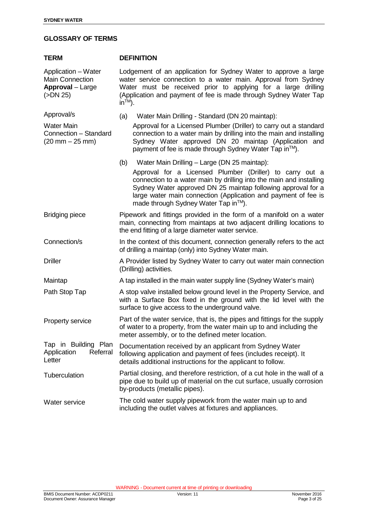#### **GLOSSARY OF TERMS**

<span id="page-2-0"></span>

| <b>TERM</b>                                                                          | <b>DEFINITION</b>                                                                                                                                                                                                                                                                                                                                               |  |  |  |
|--------------------------------------------------------------------------------------|-----------------------------------------------------------------------------------------------------------------------------------------------------------------------------------------------------------------------------------------------------------------------------------------------------------------------------------------------------------------|--|--|--|
| Application - Water<br><b>Main Connection</b><br><b>Approval</b> - Large<br>(SDN 25) | Lodgement of an application for Sydney Water to approve a large<br>water service connection to a water main. Approval from Sydney<br>Water must be received prior to applying for a large drilling<br>(Application and payment of fee is made through Sydney Water Tap<br>$in^{TM}$ ).                                                                          |  |  |  |
| Approval/s                                                                           | Water Main Drilling - Standard (DN 20 maintap):<br>(a)                                                                                                                                                                                                                                                                                                          |  |  |  |
| <b>Water Main</b><br>Connection - Standard<br>$(20 \, \text{mm} - 25 \, \text{mm})$  | Approval for a Licensed Plumber (Driller) to carry out a standard<br>connection to a water main by drilling into the main and installing<br>Sydney Water approved DN 20 maintap (Application and<br>payment of fee is made through Sydney Water Tap in™).                                                                                                       |  |  |  |
|                                                                                      | Water Main Drilling - Large (DN 25 maintap):<br>(b)<br>Approval for a Licensed Plumber (Driller) to carry out a<br>connection to a water main by drilling into the main and installing<br>Sydney Water approved DN 25 maintap following approval for a<br>large water main connection (Application and payment of fee is<br>made through Sydney Water Tap in™). |  |  |  |
| <b>Bridging piece</b>                                                                | Pipework and fittings provided in the form of a manifold on a water<br>main, connecting from maintaps at two adjacent drilling locations to<br>the end fitting of a large diameter water service.                                                                                                                                                               |  |  |  |
| Connection/s                                                                         | In the context of this document, connection generally refers to the act<br>of drilling a maintap (only) into Sydney Water main.                                                                                                                                                                                                                                 |  |  |  |
| <b>Driller</b>                                                                       | A Provider listed by Sydney Water to carry out water main connection<br>(Drilling) activities.                                                                                                                                                                                                                                                                  |  |  |  |
| Maintap                                                                              | A tap installed in the main water supply line (Sydney Water's main)                                                                                                                                                                                                                                                                                             |  |  |  |
| Path Stop Tap                                                                        | A stop valve installed below ground level in the Property Service, and<br>with a Surface Box fixed in the ground with the lid level with the<br>surface to give access to the underground valve.                                                                                                                                                                |  |  |  |
| Property service                                                                     | Part of the water service, that is, the pipes and fittings for the supply<br>of water to a property, from the water main up to and including the<br>meter assembly, or to the defined meter location.                                                                                                                                                           |  |  |  |
| Tap in Building Plan<br>Application<br>Referral<br>Letter                            | Documentation received by an applicant from Sydney Water<br>following application and payment of fees (includes receipt). It<br>details additional instructions for the applicant to follow.                                                                                                                                                                    |  |  |  |
| Tuberculation                                                                        | Partial closing, and therefore restriction, of a cut hole in the wall of a<br>pipe due to build up of material on the cut surface, usually corrosion<br>by-products (metallic pipes).                                                                                                                                                                           |  |  |  |
| Water service                                                                        | The cold water supply pipework from the water main up to and<br>including the outlet valves at fixtures and appliances.                                                                                                                                                                                                                                         |  |  |  |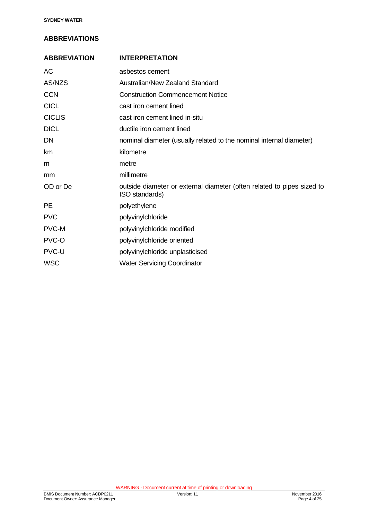#### **ABBREVIATIONS**

| <b>ABBREVIATION</b> | <b>INTERPRETATION</b>                                                                    |
|---------------------|------------------------------------------------------------------------------------------|
| AC                  | asbestos cement                                                                          |
| AS/NZS              | Australian/New Zealand Standard                                                          |
| <b>CCN</b>          | <b>Construction Commencement Notice</b>                                                  |
| <b>CICL</b>         | cast iron cement lined                                                                   |
| <b>CICLIS</b>       | cast iron cement lined in-situ                                                           |
| <b>DICL</b>         | ductile iron cement lined                                                                |
| DN                  | nominal diameter (usually related to the nominal internal diameter)                      |
| km                  | kilometre                                                                                |
| m                   | metre                                                                                    |
| mm                  | millimetre                                                                               |
| OD or De            | outside diameter or external diameter (often related to pipes sized to<br>ISO standards) |
| РE                  | polyethylene                                                                             |
| <b>PVC</b>          | polyvinylchloride                                                                        |
| PVC-M               | polyvinylchloride modified                                                               |
| PVC-O               | polyvinylchloride oriented                                                               |
| PVC-U               | polyvinylchloride unplasticised                                                          |
| <b>WSC</b>          | <b>Water Servicing Coordinator</b>                                                       |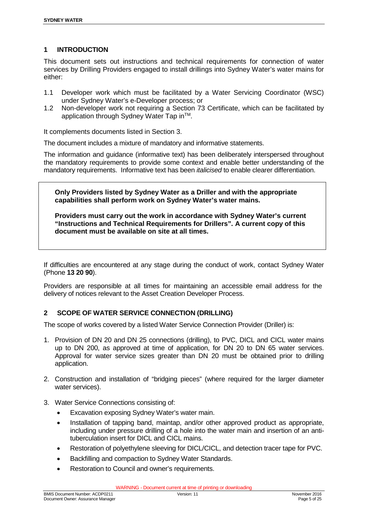#### <span id="page-4-0"></span>**1 INTRODUCTION**

This document sets out instructions and technical requirements for connection of water services by Drilling Providers engaged to install drillings into Sydney Water's water mains for either:

- 1.1 Developer work which must be facilitated by a Water Servicing Coordinator (WSC) under Sydney Water's e-Developer process; or
- 1.2 Non-developer work not requiring a Section 73 Certificate, which can be facilitated by application through Sydney Water Tap in™.

It complements documents listed in Section 3.

The document includes a mixture of mandatory and informative statements.

The information and guidance (informative text) has been deliberately interspersed throughout the mandatory requirements to provide some context and enable better understanding of the mandatory requirements. Informative text has been *italicised* to enable clearer differentiation.

**Only Providers listed by Sydney Water as a Driller and with the appropriate capabilities shall perform work on Sydney Water's water mains.**

**Providers must carry out the work in accordance with Sydney Water's current "Instructions and Technical Requirements for Drillers". A current copy of this document must be available on site at all times.**

If difficulties are encountered at any stage during the conduct of work, contact Sydney Water (Phone **13 20 90**).

Providers are responsible at all times for maintaining an accessible email address for the delivery of notices relevant to the Asset Creation Developer Process.

#### <span id="page-4-1"></span>**2 SCOPE OF WATER SERVICE CONNECTION (DRILLING)**

The scope of works covered by a listed Water Service Connection Provider (Driller) is:

- 1. Provision of DN 20 and DN 25 connections (drilling), to PVC, DICL and CICL water mains up to DN 200, as approved at time of application, for DN 20 to DN 65 water services. Approval for water service sizes greater than DN 20 must be obtained prior to drilling application.
- 2. Construction and installation of "bridging pieces" (where required for the larger diameter water services).
- 3. Water Service Connections consisting of:
	- Excavation exposing Sydney Water's water main.
	- Installation of tapping band, maintap, and/or other approved product as appropriate, including under pressure drilling of a hole into the water main and insertion of an antituberculation insert for DICL and CICL mains.
	- Restoration of polyethylene sleeving for DICL/CICL, and detection tracer tape for PVC.
	- Backfilling and compaction to Sydney Water Standards.
	- Restoration to Council and owner's requirements.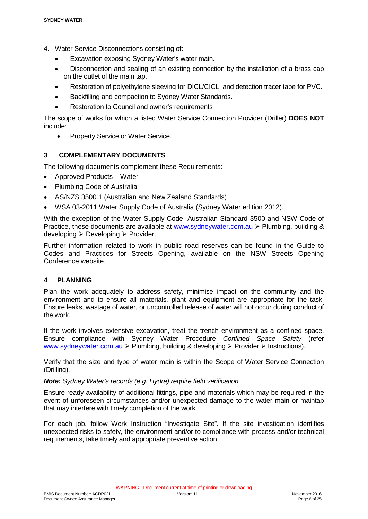- 4. Water Service Disconnections consisting of:
	- Excavation exposing Sydney Water's water main.
	- Disconnection and sealing of an existing connection by the installation of a brass cap on the outlet of the main tap.
	- Restoration of polyethylene sleeving for DICL/CICL, and detection tracer tape for PVC.
	- Backfilling and compaction to Sydney Water Standards.
	- Restoration to Council and owner's requirements

The scope of works for which a listed Water Service Connection Provider (Driller) **DOES NOT** include:

<span id="page-5-0"></span>• Property Service or Water Service.

#### **3 COMPLEMENTARY DOCUMENTS**

The following documents complement these Requirements:

- Approved Products Water
- Plumbing Code of Australia
- AS/NZS 3500.1 (Australian and New Zealand Standards)
- WSA 03-2011 Water Supply Code of Australia (Sydney Water edition 2012).

With the exception of the Water Supply Code, Australian Standard 3500 and NSW Code of Practice, these documents are available at [www.sydneywater.com.au](http://www.sydneywater.com.au/)  $\triangleright$  Plumbing, building &  $developing \geq Developing \geq Provider.$ 

Further information related to work in public road reserves can be found in the Guide to Codes and Practices for Streets Opening, available on the NSW Streets Opening Conference website.

#### <span id="page-5-1"></span>**4 PLANNING**

Plan the work adequately to address safety, minimise impact on the community and the environment and to ensure all materials, plant and equipment are appropriate for the task. Ensure leaks, wastage of water, or uncontrolled release of water will not occur during conduct of the work.

If the work involves extensive excavation, treat the trench environment as a confined space. Ensure compliance with Sydney Water Procedure *Confined Space Safety* (refer [www.sydneywater.com.au](http://www.sydneywater.com.au/)  $\triangleright$  Plumbing, building & developing  $\triangleright$  Provider  $\triangleright$  Instructions).

Verify that the size and type of water main is within the Scope of Water Service Connection (Drilling).

*Note: Sydney Water's records (e.g. Hydra) require field verification.*

Ensure ready availability of additional fittings, pipe and materials which may be required in the event of unforeseen circumstances and/or unexpected damage to the water main or maintap that may interfere with timely completion of the work.

For each job, follow Work Instruction "Investigate Site". If the site investigation identifies unexpected risks to safety, the environment and/or to compliance with process and/or technical requirements, take timely and appropriate preventive action.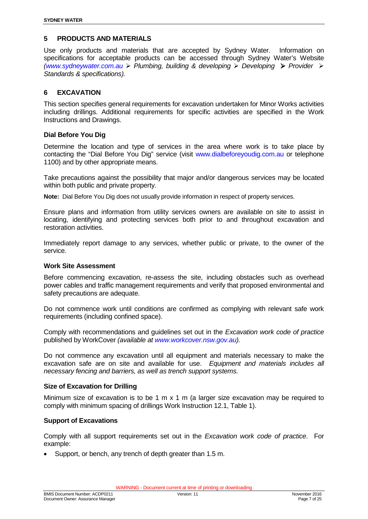#### <span id="page-6-0"></span>**5 PRODUCTS AND MATERIALS**

Use only products and materials that are accepted by Sydney Water. Information on specifications for acceptable products can be accessed through Sydney Water's Website *[\(www.sydneywater.com.au](http://www.sydneywater.com.au/) Plumbing, building & developing Developing Provider Standards & specifications).*

#### <span id="page-6-1"></span>**6 EXCAVATION**

This section specifies general requirements for excavation undertaken for Minor Works activities including drillings. Additional requirements for specific activities are specified in the Work Instructions and Drawings.

#### <span id="page-6-2"></span>**Dial Before You Dig**

Determine the location and type of services in the area where work is to take place by contacting the "Dial Before You Dig" service (visit [www.dialbeforeyoudig.com.au](http://www.dialbeforeyoudig.com.au/) or telephone 1100) and by other appropriate means.

Take precautions against the possibility that major and/or dangerous services may be located within both public and private property.

**Note:** Dial Before You Dig does not usually provide information in respect of property services.

Ensure plans and information from utility services owners are available on site to assist in locating, identifying and protecting services both prior to and throughout excavation and restoration activities.

Immediately report damage to any services, whether public or private, to the owner of the service.

#### <span id="page-6-3"></span>**Work Site Assessment**

Before commencing excavation, re-assess the site, including obstacles such as overhead power cables and traffic management requirements and verify that proposed environmental and safety precautions are adequate.

Do not commence work until conditions are confirmed as complying with relevant safe work requirements (including confined space).

Comply with recommendations and guidelines set out in the *Excavation work code of practice* published by WorkCover *(available at [www.workcover.nsw.gov.au\)](http://www.workcover.nsw.gov.au/).* 

Do not commence any excavation until all equipment and materials necessary to make the excavation safe are on site and available for use. *Equipment and materials includes all necessary fencing and barriers, as well as trench support systems.*

#### <span id="page-6-4"></span>**Size of Excavation for Drilling**

Minimum size of excavation is to be 1 m  $\times$  1 m (a larger size excavation may be required to comply with minimum spacing of drillings Work Instruction 12.1, Table 1).

#### <span id="page-6-5"></span>**Support of Excavations**

Comply with all support requirements set out in the *Excavation work code of practice*. For example:

• Support, or bench, any trench of depth greater than 1.5 m.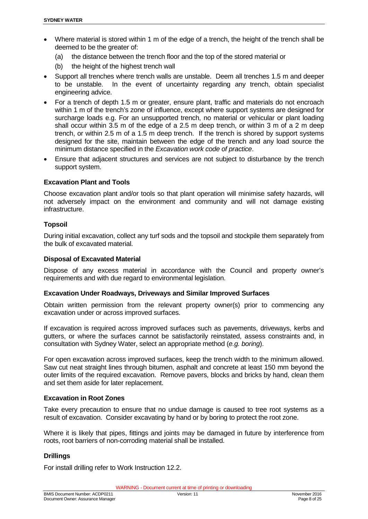- Where material is stored within 1 m of the edge of a trench, the height of the trench shall be deemed to be the greater of:
	- (a) the distance between the trench floor and the top of the stored material or
	- (b) the height of the highest trench wall
- Support all trenches where trench walls are unstable. Deem all trenches 1.5 m and deeper to be unstable. In the event of uncertainty regarding any trench, obtain specialist engineering advice.
- For a trench of depth 1.5 m or greater, ensure plant, traffic and materials do not encroach within 1 m of the trench's zone of influence, except where support systems are designed for surcharge loads e.g. For an unsupported trench, no material or vehicular or plant loading shall occur within 3.5 m of the edge of a 2.5 m deep trench, or within 3 m of a 2 m deep trench, or within 2.5 m of a 1.5 m deep trench. If the trench is shored by support systems designed for the site, maintain between the edge of the trench and any load source the minimum distance specified in the *Excavation work code of practice*.
- Ensure that adjacent structures and services are not subject to disturbance by the trench support system.

#### <span id="page-7-0"></span>**Excavation Plant and Tools**

Choose excavation plant and/or tools so that plant operation will minimise safety hazards, will not adversely impact on the environment and community and will not damage existing infrastructure.

#### <span id="page-7-1"></span>**Topsoil**

During initial excavation, collect any turf sods and the topsoil and stockpile them separately from the bulk of excavated material.

#### <span id="page-7-2"></span>**Disposal of Excavated Material**

Dispose of any excess material in accordance with the Council and property owner's requirements and with due regard to environmental legislation.

#### <span id="page-7-3"></span>**Excavation Under Roadways, Driveways and Similar Improved Surfaces**

Obtain written permission from the relevant property owner(s) prior to commencing any excavation under or across improved surfaces.

If excavation is required across improved surfaces such as pavements, driveways, kerbs and gutters, or where the surfaces cannot be satisfactorily reinstated, assess constraints and, in consultation with Sydney Water, select an appropriate method (*e.g. boring*).

For open excavation across improved surfaces, keep the trench width to the minimum allowed. Saw cut neat straight lines through bitumen, asphalt and concrete at least 150 mm beyond the outer limits of the required excavation. Remove pavers, blocks and bricks by hand, clean them and set them aside for later replacement.

#### <span id="page-7-4"></span>**Excavation in Root Zones**

Take every precaution to ensure that no undue damage is caused to tree root systems as a result of excavation. Consider excavating by hand or by boring to protect the root zone.

Where it is likely that pipes, fittings and joints may be damaged in future by interference from roots, root barriers of non-corroding material shall be installed.

#### <span id="page-7-5"></span>**Drillings**

For install drilling refer to Work Instruction 12.2.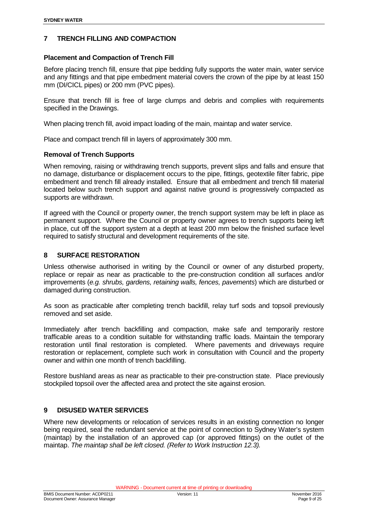#### <span id="page-8-0"></span>**7 TRENCH FILLING AND COMPACTION**

#### <span id="page-8-1"></span>**Placement and Compaction of Trench Fill**

Before placing trench fill, ensure that pipe bedding fully supports the water main, water service and any fittings and that pipe embedment material covers the crown of the pipe by at least 150 mm (DI/CICL pipes) or 200 mm (PVC pipes).

Ensure that trench fill is free of large clumps and debris and complies with requirements specified in the Drawings.

When placing trench fill, avoid impact loading of the main, maintap and water service.

<span id="page-8-2"></span>Place and compact trench fill in layers of approximately 300 mm.

#### **Removal of Trench Supports**

When removing, raising or withdrawing trench supports, prevent slips and falls and ensure that no damage, disturbance or displacement occurs to the pipe, fittings, geotextile filter fabric, pipe embedment and trench fill already installed. Ensure that all embedment and trench fill material located below such trench support and against native ground is progressively compacted as supports are withdrawn.

If agreed with the Council or property owner, the trench support system may be left in place as permanent support. Where the Council or property owner agrees to trench supports being left in place, cut off the support system at a depth at least 200 mm below the finished surface level required to satisfy structural and development requirements of the site.

#### <span id="page-8-3"></span>**8 SURFACE RESTORATION**

Unless otherwise authorised in writing by the Council or owner of any disturbed property, replace or repair as near as practicable to the pre-construction condition all surfaces and/or improvements (*e.g. shrubs, gardens, retaining walls, fences, pavements*) which are disturbed or damaged during construction.

As soon as practicable after completing trench backfill, relay turf sods and topsoil previously removed and set aside.

Immediately after trench backfilling and compaction, make safe and temporarily restore trafficable areas to a condition suitable for withstanding traffic loads. Maintain the temporary restoration until final restoration is completed. Where pavements and driveways require restoration or replacement, complete such work in consultation with Council and the property owner and within one month of trench backfilling.

Restore bushland areas as near as practicable to their pre-construction state. Place previously stockpiled topsoil over the affected area and protect the site against erosion.

#### <span id="page-8-4"></span>**9 DISUSED WATER SERVICES**

Where new developments or relocation of services results in an existing connection no longer being required, seal the redundant service at the point of connection to Sydney Water's system (maintap) by the installation of an approved cap (or approved fittings) on the outlet of the maintap. *The maintap shall be left closed. (Refer to Work Instruction 12.3).*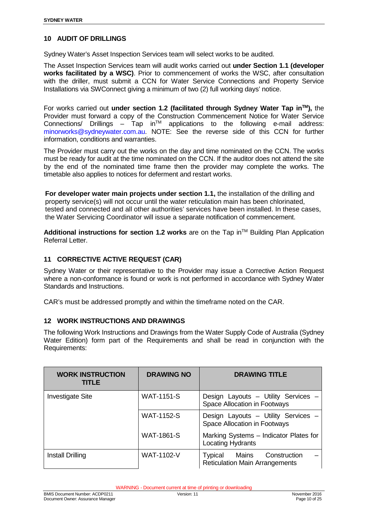#### <span id="page-9-0"></span>**10 AUDIT OF DRILLINGS**

Sydney Water's Asset Inspection Services team will select works to be audited.

The Asset Inspection Services team will audit works carried out **under Section 1.1 (developer works facilitated by a WSC)**. Prior to commencement of works the WSC, after consultation with the driller, must submit a CCN for Water Service Connections and Property Service Installations via SWConnect giving a minimum of two (2) full working days' notice.

For works carried out **under section 1.2 (facilitated through Sydney Water Tap inTM),** the Provider must forward a copy of the Construction Commencement Notice for Water Service Connections/ Drillings  $-$  Tap in<sup>TM</sup> applications to the following e-mail address: [minorworks@sydneywater.com.au.](mailto:minorworks@sydneywater.com.au) NOTE: See the reverse side of this CCN for further information, conditions and warranties.

The Provider must carry out the works on the day and time nominated on the CCN. The works must be ready for audit at the time nominated on the CCN. If the auditor does not attend the site by the end of the nominated time frame then the provider may complete the works. The timetable also applies to notices for deferment and restart works.

**For developer water main projects under section 1.1,** the installation of the drilling and property service(s) will not occur until the water reticulation main has been chlorinated, tested and connected and all other authorities' services have been installed. In these cases, the Water Servicing Coordinator will issue a separate notification of commencement.

Additional instructions for section 1.2 works are on the Tap in™ Building Plan Application Referral Letter.

#### <span id="page-9-1"></span>**11 CORRECTIVE ACTIVE REQUEST (CAR)**

Sydney Water or their representative to the Provider may issue a Corrective Action Request where a non-conformance is found or work is not performed in accordance with Sydney Water Standards and Instructions.

<span id="page-9-2"></span>CAR's must be addressed promptly and within the timeframe noted on the CAR.

#### **12 WORK INSTRUCTIONS AND DRAWINGS**

The following Work Instructions and Drawings from the Water Supply Code of Australia (Sydney Water Edition) form part of the Requirements and shall be read in conjunction with the Requirements:

| <b>WORK INSTRUCTION</b><br>TITLE | <b>DRAWING NO</b> | <b>DRAWING TITLE</b>                                                      |
|----------------------------------|-------------------|---------------------------------------------------------------------------|
| <b>Investigate Site</b>          | <b>WAT-1151-S</b> | Design Layouts - Utility Services -<br>Space Allocation in Footways       |
|                                  | <b>WAT-1152-S</b> | Design Layouts - Utility Services -<br>Space Allocation in Footways       |
|                                  | <b>WAT-1861-S</b> | Marking Systems - Indicator Plates for<br>Locating Hydrants               |
| Install Drilling                 | <b>WAT-1102-V</b> | Construction<br>Mains<br>Typical<br><b>Reticulation Main Arrangements</b> |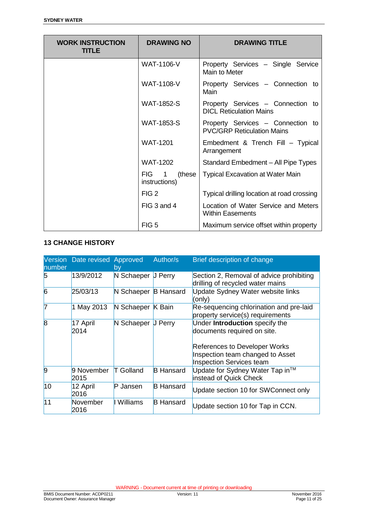| <b>WORK INSTRUCTION</b><br><b>TITLE</b> | <b>DRAWING NO</b>                | <b>DRAWING TITLE</b>                                                   |  |
|-----------------------------------------|----------------------------------|------------------------------------------------------------------------|--|
|                                         | WAT-1106-V                       | Property Services - Single Service<br>Main to Meter                    |  |
|                                         | <b>WAT-1108-V</b>                | Property Services - Connection to<br>Main                              |  |
|                                         | <b>WAT-1852-S</b>                | Property Services - Connection to<br><b>DICL Reticulation Mains</b>    |  |
|                                         | <b>WAT-1853-S</b>                | Property Services - Connection to<br><b>PVC/GRP Reticulation Mains</b> |  |
|                                         | <b>WAT-1201</b>                  | Embedment & Trench Fill - Typical<br>Arrangement                       |  |
|                                         | <b>WAT-1202</b>                  | Standard Embedment - All Pipe Types                                    |  |
|                                         | FIG.<br>(these)<br>instructions) | <b>Typical Excavation at Water Main</b>                                |  |
|                                         | FIG <sub>2</sub>                 | Typical drilling location at road crossing                             |  |
|                                         | FIG 3 and 4                      | Location of Water Service and Meters<br><b>Within Easements</b>        |  |
|                                         | FIG <sub>5</sub>                 | Maximum service offset within property                                 |  |

#### **13 CHANGE HISTORY**

| number         | Version Date revised Approved | by                   | Author/s         | Brief description of change                                                                                                                                    |
|----------------|-------------------------------|----------------------|------------------|----------------------------------------------------------------------------------------------------------------------------------------------------------------|
| 5              | 13/9/2012                     | N Schaeper J Perry   |                  | Section 2, Removal of advice prohibiting<br>drilling of recycled water mains                                                                                   |
| $\overline{6}$ | 25/03/13                      | N Schaeper B Hansard |                  | Update Sydney Water website links<br>(only)                                                                                                                    |
| 7              | 1 May 2013                    | N Schaeper K Bain    |                  | Re-sequencing chlorination and pre-laid<br>property service(s) requirements                                                                                    |
| $\overline{8}$ | 17 April<br>2014              | N Schaeper           | <b>J</b> Perry   | Under Introduction specify the<br>documents required on site.<br>References to Developer Works<br>Inspection team changed to Asset<br>Inspection Services team |
| 9              | 9 November<br>2015            | <b>T</b> Golland     | <b>B</b> Hansard | Update for Sydney Water Tap in™<br>instead of Quick Check                                                                                                      |
| 10             | 12 April<br>2016              | P Jansen             | <b>B</b> Hansard | Update section 10 for SWConnect only                                                                                                                           |
| 11             | November<br>2016              | I Williams           | <b>B</b> Hansard | Update section 10 for Tap in CCN.                                                                                                                              |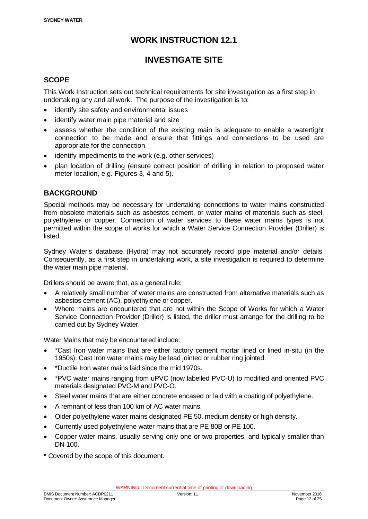### **INVESTIGATE SITE**

#### <span id="page-11-0"></span>**SCOPE**

This Work Instruction sets out technical requirements for site investigation as a first step in undertaking any and all work. The purpose of the investigation is to:

- identify site safety and environmental issues
- identify water main pipe material and size
- assess whether the condition of the existing main is adequate to enable a watertight connection to be made and ensure that fittings and connections to be used are appropriate for the connection
- identify impediments to the work (e.g. other services)
- plan location of drilling (ensure correct position of drilling in relation to proposed water meter location, e.g. Figures 3, 4 and 5).

#### **BACKGROUND**

Special methods may be necessary for undertaking connections to water mains constructed from obsolete materials such as asbestos cement, or water mains of materials such as steel, polyethylene or copper. Connection of water services to these water mains types is not permitted within the scope of works for which a Water Service Connection Provider (Driller) is listed.

Sydney Water's database (Hydra) may not accurately record pipe material and/or details. Consequently, as a first step in undertaking work, a site investigation is required to determine the water main pipe material.

Drillers should be aware that, as a general rule:

- A relatively small number of water mains are constructed from alternative materials such as asbestos cement (AC), polyethylene or copper.
- Where mains are encountered that are not within the Scope of Works for which a Water Service Connection Provider (Driller) is listed, the driller must arrange for the drilling to be carried out by Sydney Water.

Water Mains that may be encountered include:

- \*Cast Iron water mains that are either factory cement mortar lined or lined in-situ (in the 1950s). Cast Iron water mains may be lead jointed or rubber ring jointed.
- \*Ductile Iron water mains laid since the mid 1970s.
- \*PVC water mains ranging from uPVC (now labelled PVC-U) to modified and oriented PVC materials designated PVC-M and PVC-O.
- Steel water mains that are either concrete encased or laid with a coating of polyethylene.
- A remnant of less than 100 km of AC water mains.
- Older polyethylene water mains designated PE 50, medium density or high density.
- Currently used polyethylene water mains that are PE 80B or PE 100.
- Copper water mains, usually serving only one or two properties, and typically smaller than DN 100.
- \* Covered by the scope of this document.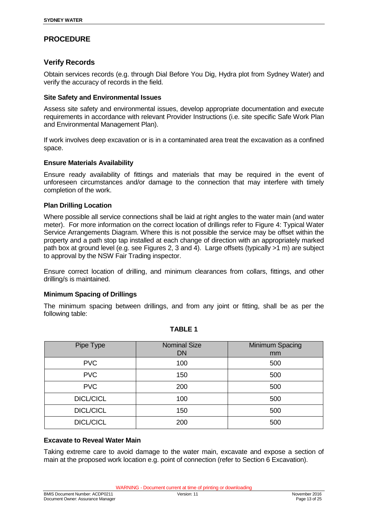#### **PROCEDURE**

#### **Verify Records**

Obtain services records (e.g. through Dial Before You Dig, Hydra plot from Sydney Water) and verify the accuracy of records in the field.

#### **Site Safety and Environmental Issues**

Assess site safety and environmental issues, develop appropriate documentation and execute requirements in accordance with relevant Provider Instructions (i.e. site specific Safe Work Plan and Environmental Management Plan).

If work involves deep excavation or is in a contaminated area treat the excavation as a confined space.

#### **Ensure Materials Availability**

Ensure ready availability of fittings and materials that may be required in the event of unforeseen circumstances and/or damage to the connection that may interfere with timely completion of the work.

#### **Plan Drilling Location**

Where possible all service connections shall be laid at right angles to the water main (and water meter). For more information on the correct location of drillings refer to Figure 4: Typical Water Service Arrangements Diagram. Where this is not possible the service may be offset within the property and a path stop tap installed at each change of direction with an appropriately marked path box at ground level (e.g. see Figures 2, 3 and 4). Large offsets (typically >1 m) are subject to approval by the NSW Fair Trading inspector.

Ensure correct location of drilling, and minimum clearances from collars, fittings, and other drilling/s is maintained.

#### **Minimum Spacing of Drillings**

The minimum spacing between drillings, and from any joint or fitting, shall be as per the following table:

| Pipe Type        | <b>Nominal Size</b><br><b>DN</b> | <b>Minimum Spacing</b><br>mm |
|------------------|----------------------------------|------------------------------|
| <b>PVC</b>       | 100                              | 500                          |
| <b>PVC</b>       | 150                              | 500                          |
| <b>PVC</b>       | 200                              | 500                          |
| <b>DICL/CICL</b> | 100                              | 500                          |
| <b>DICL/CICL</b> | 150                              | 500                          |
| <b>DICL/CICL</b> | 200                              | 500                          |

#### **TABLE 1**

#### **Excavate to Reveal Water Main**

Taking extreme care to avoid damage to the water main, excavate and expose a section of main at the proposed work location e.g. point of connection (refer to Section 6 Excavation).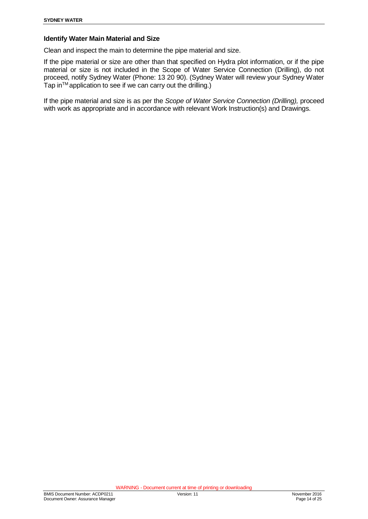#### **Identify Water Main Material and Size**

Clean and inspect the main to determine the pipe material and size.

If the pipe material or size are other than that specified on Hydra plot information, or if the pipe material or size is not included in the Scope of Water Service Connection (Drilling), do not proceed, notify Sydney Water (Phone: 13 20 90). (Sydney Water will review your Sydney Water Tap inTM application to see if we can carry out the drilling.)

If the pipe material and size is as per the *Scope of Water Service Connection (Drilling),* proceed with work as appropriate and in accordance with relevant Work Instruction(s) and Drawings.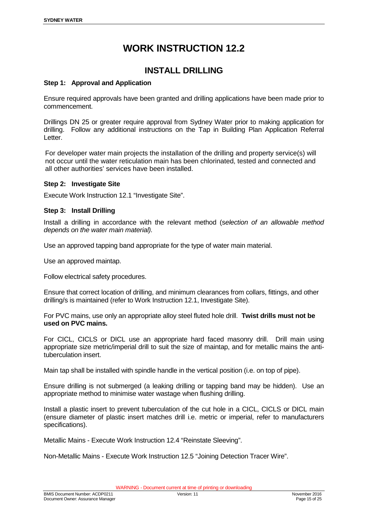### **INSTALL DRILLING**

#### <span id="page-14-0"></span>**Step 1: Approval and Application**

Ensure required approvals have been granted and drilling applications have been made prior to commencement.

Drillings DN 25 or greater require approval from Sydney Water prior to making application for drilling. Follow any additional instructions on the Tap in Building Plan Application Referral Letter.

For developer water main projects the installation of the drilling and property service(s) will not occur until the water reticulation main has been chlorinated, tested and connected and all other authorities' services have been installed.

#### **Step 2: Investigate Site**

Execute Work Instruction 12.1 "Investigate Site".

#### **Step 3: Install Drilling**

Install a drilling in accordance with the relevant method (s*election of an allowable method depends on the water main material).* 

Use an approved tapping band appropriate for the type of water main material.

Use an approved maintap.

Follow electrical safety procedures.

Ensure that correct location of drilling, and minimum clearances from collars, fittings, and other drilling/s is maintained (refer to Work Instruction 12.1, Investigate Site).

For PVC mains, use only an appropriate alloy steel fluted hole drill. **Twist drills must not be used on PVC mains.** 

For CICL, CICLS or DICL use an appropriate hard faced masonry drill. Drill main using appropriate size metric/imperial drill to suit the size of maintap, and for metallic mains the antituberculation insert.

Main tap shall be installed with spindle handle in the vertical position (i.e. on top of pipe).

Ensure drilling is not submerged (a leaking drilling or tapping band may be hidden). Use an appropriate method to minimise water wastage when flushing drilling.

Install a plastic insert to prevent tuberculation of the cut hole in a CICL, CICLS or DICL main (ensure diameter of plastic insert matches drill i.e. metric or imperial, refer to manufacturers specifications).

Metallic Mains - Execute Work Instruction 12.4 "Reinstate Sleeving".

Non-Metallic Mains - Execute Work Instruction 12.5 "Joining Detection Tracer Wire".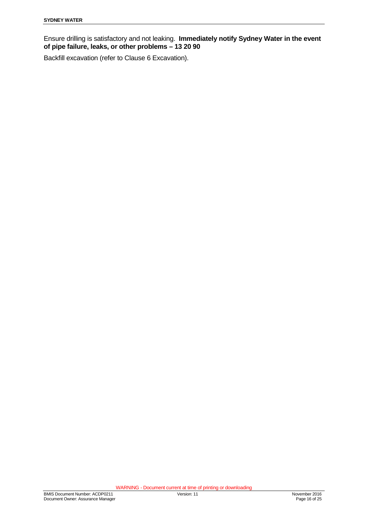Ensure drilling is satisfactory and not leaking. **Immediately notify Sydney Water in the event of pipe failure, leaks, or other problems – 13 20 90** 

<span id="page-15-0"></span>Backfill excavation (refer to Clause 6 Excavation).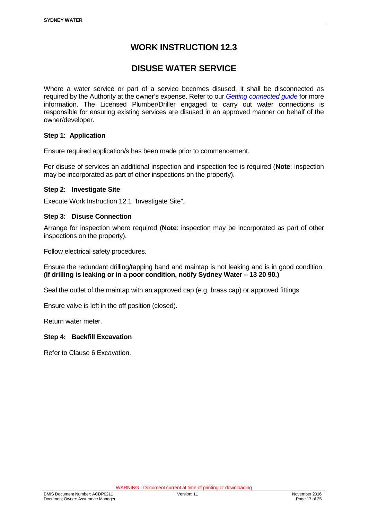### **DISUSE WATER SERVICE**

Where a water service or part of a service becomes disused, it shall be disconnected as required by the Authority at the owner's expense. Refer to our *[Getting connected guide](http://www.sydneywater.com.au/web/groups/publicwebcontent/documents/document/zgrf/mdqz/%7Eedisp/dd_043556.pdf)* for more information. The Licensed Plumber/Driller engaged to carry out water connections is responsible for ensuring existing services are disused in an approved manner on behalf of the owner/developer.

#### **Step 1: Application**

Ensure required application/s has been made prior to commencement.

For disuse of services an additional inspection and inspection fee is required (**Note**: inspection may be incorporated as part of other inspections on the property).

#### **Step 2: Investigate Site**

Execute Work Instruction 12.1 "Investigate Site".

#### **Step 3: Disuse Connection**

Arrange for inspection where required (**Note**: inspection may be incorporated as part of other inspections on the property).

Follow electrical safety procedures.

Ensure the redundant drilling/tapping band and maintap is not leaking and is in good condition. **(If drilling is leaking or in a poor condition, notify Sydney Water – 13 20 90.)** 

Seal the outlet of the maintap with an approved cap (e.g. brass cap) or approved fittings.

Ensure valve is left in the off position (closed).

Return water meter.

#### **Step 4: Backfill Excavation**

Refer to Clause 6 Excavation.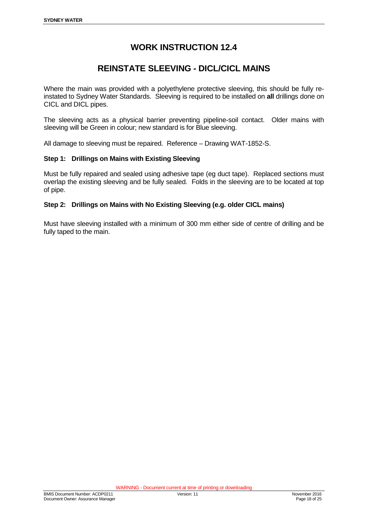### **REINSTATE SLEEVING - DICL/CICL MAINS**

<span id="page-17-0"></span>Where the main was provided with a polyethylene protective sleeving, this should be fully reinstated to Sydney Water Standards. Sleeving is required to be installed on **all** drillings done on CICL and DICL pipes.

The sleeving acts as a physical barrier preventing pipeline-soil contact. Older mains with sleeving will be Green in colour; new standard is for Blue sleeving.

All damage to sleeving must be repaired. Reference – Drawing WAT-1852-S.

#### **Step 1: Drillings on Mains with Existing Sleeving**

Must be fully repaired and sealed using adhesive tape (eg duct tape). Replaced sections must overlap the existing sleeving and be fully sealed. Folds in the sleeving are to be located at top of pipe.

#### **Step 2: Drillings on Mains with No Existing Sleeving (e.g. older CICL mains)**

Must have sleeving installed with a minimum of 300 mm either side of centre of drilling and be fully taped to the main.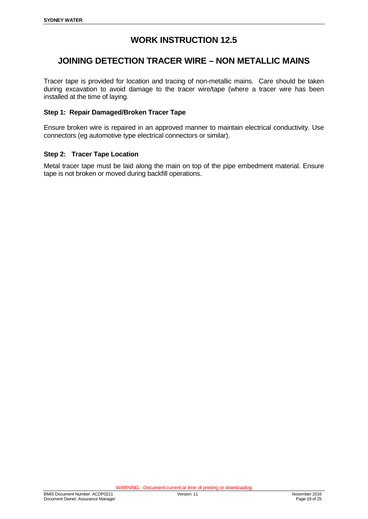### <span id="page-18-0"></span>**JOINING DETECTION TRACER WIRE – NON METALLIC MAINS**

Tracer tape is provided for location and tracing of non-metallic mains. Care should be taken during excavation to avoid damage to the tracer wire/tape (where a tracer wire has been installed at the time of laying.

#### **Step 1: Repair Damaged/Broken Tracer Tape**

Ensure broken wire is repaired in an approved manner to maintain electrical conductivity. Use connectors (eg automotive type electrical connectors or similar).

#### **Step 2: Tracer Tape Location**

Metal tracer tape must be laid along the main on top of the pipe embedment material. Ensure tape is not broken or moved during backfill operations.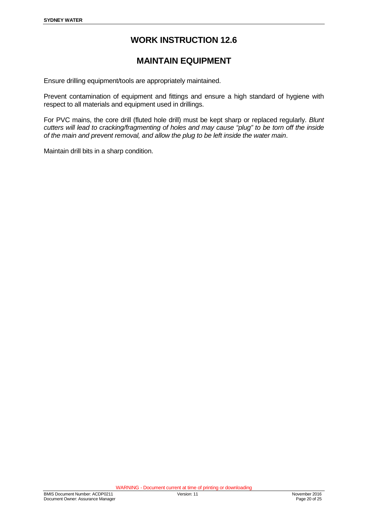### **MAINTAIN EQUIPMENT**

<span id="page-19-0"></span>Ensure drilling equipment/tools are appropriately maintained.

Prevent contamination of equipment and fittings and ensure a high standard of hygiene with respect to all materials and equipment used in drillings.

For PVC mains, the core drill (fluted hole drill) must be kept sharp or replaced regularly. *Blunt cutters will lead to cracking/fragmenting of holes and may cause "plug" to be torn off the inside of the main and prevent removal, and allow the plug to be left inside the water main*.

<span id="page-19-1"></span>Maintain drill bits in a sharp condition.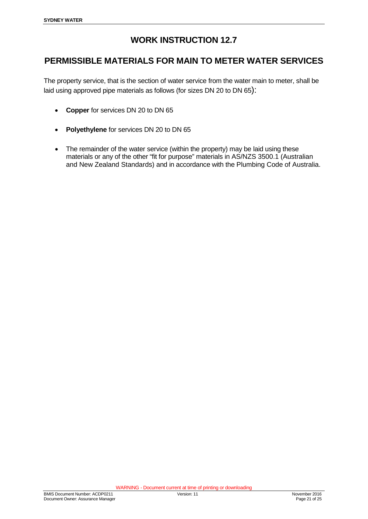### **PERMISSIBLE MATERIALS FOR MAIN TO METER WATER SERVICES**

The property service, that is the section of water service from the water main to meter, shall be laid using approved pipe materials as follows (for sizes DN 20 to DN 65):

- **Copper** for services DN 20 to DN 65
- **Polyethylene** for services DN 20 to DN 65
- The remainder of the water service (within the property) may be laid using these materials or any of the other "fit for purpose" materials in AS/NZS 3500.1 (Australian and New Zealand Standards) and in accordance with the Plumbing Code of Australia.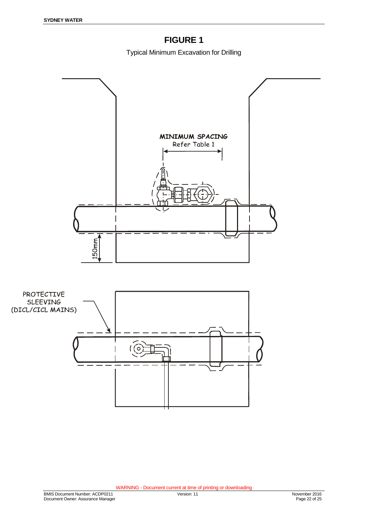# **FIGURE 1**

Typical Minimum Excavation for Drilling

<span id="page-21-0"></span>

<span id="page-21-1"></span>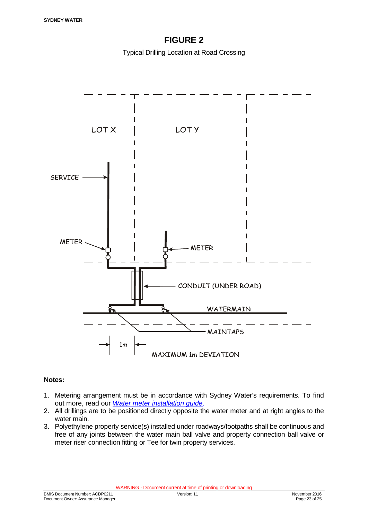# **FIGURE 2**

Typical Drilling Location at Road Crossing



#### **Notes:**

- 1. Metering arrangement must be in accordance with Sydney Water's requirements. To find out more, read our *[Water meter installation guide](http://www.sydneywater.com.au/SW/plumbing-building-developing/plumbing/meters-and-metered-standpipes/DD_047502)*.
- 2. All drillings are to be positioned directly opposite the water meter and at right angles to the water main.
- 3. Polyethylene property service(s) installed under roadways/footpaths shall be continuous and free of any joints between the water main ball valve and property connection ball valve or meter riser connection fitting or Tee for twin property services.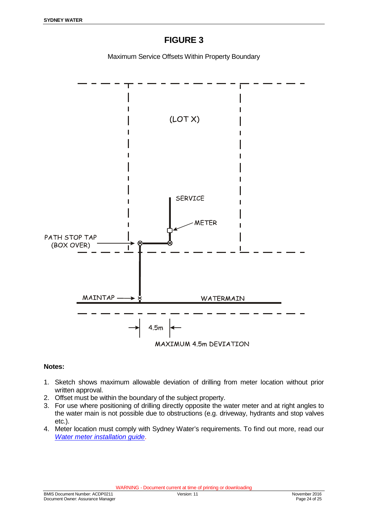### **FIGURE 3**

Maximum Service Offsets Within Property Boundary

<span id="page-23-0"></span>

#### **Notes:**

- 1. Sketch shows maximum allowable deviation of drilling from meter location without prior written approval.
- 2. Offset must be within the boundary of the subject property.
- 3. For use where positioning of drilling directly opposite the water meter and at right angles to the water main is not possible due to obstructions (e.g. driveway, hydrants and stop valves etc.).
- 4. Meter location must comply with Sydney Water's requirements. To find out more, read our *[Water meter installation guide](http://www.sydneywater.com.au/SW/plumbing-building-developing/plumbing/meters-and-metered-standpipes/DD_047502)*.